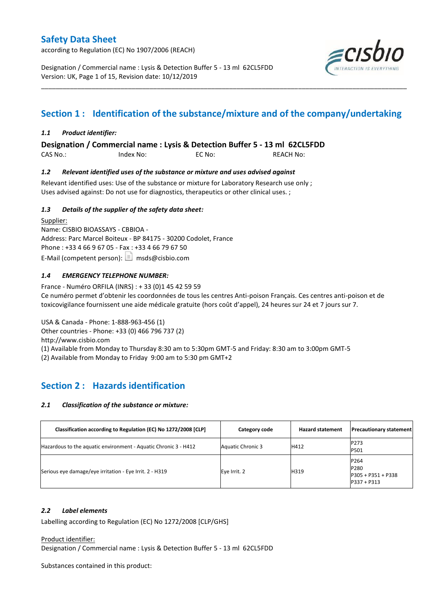according to Regulation (EC) No 1907/2006 (REACH)

Designation / Commercial name : Lysis & Detection Buffer 5 - 13 ml 62CL5FDD Version: UK, Page 1 of 15, Revision date: 10/12/2019



# **Section 1 : Identification of the substance/mixture and of the company/undertaking**

\_\_\_\_\_\_\_\_\_\_\_\_\_\_\_\_\_\_\_\_\_\_\_\_\_\_\_\_\_\_\_\_\_\_\_\_\_\_\_\_\_\_\_\_\_\_\_\_\_\_\_\_\_\_\_\_\_\_\_\_\_\_\_\_\_\_\_\_\_\_\_\_\_\_\_\_\_\_\_\_\_\_\_\_\_\_\_\_\_\_\_\_\_\_\_\_\_\_\_\_\_

## *1.1 Product identifier:*

**Designation / Commercial name : Lysis & Detection Buffer 5 - 13 ml 62CL5FDD** 

CAS No.: Index No: EC No: REACH No:

## *1.2 Relevant identified uses of the substance or mixture and uses advised against*

Relevant identified uses: Use of the substance or mixture for Laboratory Research use only ; Uses advised against: Do not use for diagnostics, therapeutics or other clinical uses. ;

## *1.3 Details of the supplier of the safety data sheet:*

Supplier: Name: CISBIO BIOASSAYS - CBBIOA - Address: Parc Marcel Boiteux - BP 84175 - 30200 Codolet, France Phone : +33 4 66 9 67 05 - Fax : +33 4 66 79 67 50 E-Mail (competent person):  $\boxed{\equiv}$  msds@cisbio.com

## *1.4 EMERGENCY TELEPHONE NUMBER:*

France - Numéro ORFILA (INRS) : + 33 (0)1 45 42 59 59 Ce numéro permet d'obtenir les coordonnées de tous les centres Anti-poison Français. Ces centres anti-poison et de toxicovigilance fournissent une aide médicale gratuite (hors coût d'appel), 24 heures sur 24 et 7 jours sur 7.

USA & Canada - Phone: 1-888-963-456 (1) Other countries - Phone: +33 (0) 466 796 737 (2) http://www.cisbio.com (1) Available from Monday to Thursday 8:30 am to 5:30pm GMT-5 and Friday: 8:30 am to 3:00pm GMT-5

(2) Available from Monday to Friday 9:00 am to 5:30 pm GMT+2

# **Section 2 : Hazards identification**

## *2.1 Classification of the substance or mixture:*

| Classification according to Regulation (EC) No 1272/2008 [CLP]  | Category code            | <b>Hazard statement</b> | <b>Precautionary statement</b>                      |
|-----------------------------------------------------------------|--------------------------|-------------------------|-----------------------------------------------------|
| Hazardous to the aquatic environment - Aquatic Chronic 3 - H412 | <b>Aquatic Chronic 3</b> | H412                    | P273<br>P501                                        |
| Serious eye damage/eye irritation - Eye Irrit. 2 - H319         | Eye Irrit. 2             | H319                    | P264<br>P280<br>P305 + P351 + P338<br>$P337 + P313$ |

## *2.2 Label elements*

Labelling according to Regulation (EC) No 1272/2008 [CLP/GHS]

#### Product identifier:

Designation / Commercial name : Lysis & Detection Buffer 5 - 13 ml 62CL5FDD

Substances contained in this product: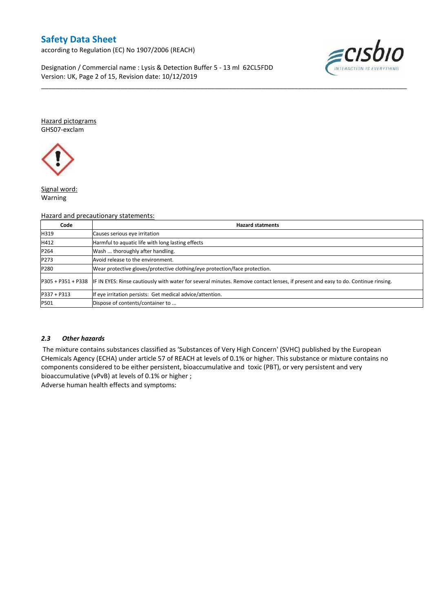according to Regulation (EC) No 1907/2006 (REACH)

Designation / Commercial name : Lysis & Detection Buffer 5 - 13 ml 62CL5FDD Version: UK, Page 2 of 15, Revision date: 10/12/2019



Hazard pictograms GHS07-exclam



Signal word: Warning

#### Hazard and precautionary statements:

| Code          | <b>Hazard statments</b>                                                                                                                               |
|---------------|-------------------------------------------------------------------------------------------------------------------------------------------------------|
| H319          | Causes serious eye irritation                                                                                                                         |
| H412          | Harmful to aquatic life with long lasting effects                                                                                                     |
| P264          | Wash  thoroughly after handling.                                                                                                                      |
| P273          | Avoid release to the environment.                                                                                                                     |
| P280          | Wear protective gloves/protective clothing/eye protection/face protection.                                                                            |
|               | P305 + P351 + P338   IF IN EYES: Rinse cautiously with water for several minutes. Remove contact lenses, if present and easy to do. Continue rinsing. |
| $P337 + P313$ | If eye irritation persists: Get medical advice/attention.                                                                                             |
| P501          | Dispose of contents/container to                                                                                                                      |

\_\_\_\_\_\_\_\_\_\_\_\_\_\_\_\_\_\_\_\_\_\_\_\_\_\_\_\_\_\_\_\_\_\_\_\_\_\_\_\_\_\_\_\_\_\_\_\_\_\_\_\_\_\_\_\_\_\_\_\_\_\_\_\_\_\_\_\_\_\_\_\_\_\_\_\_\_\_\_\_\_\_\_\_\_\_\_\_\_\_\_\_\_\_\_\_\_\_\_\_\_

#### *2.3 Other hazards*

The mixture contains substances classified as 'Substances of Very High Concern' (SVHC) published by the European CHemicals Agency (ECHA) under article 57 of REACH at levels of 0.1% or higher. This substance or mixture contains no components considered to be either persistent, bioaccumulative and toxic (PBT), or very persistent and very bioaccumulative (vPvB) at levels of 0.1% or higher ;

Adverse human health effects and symptoms: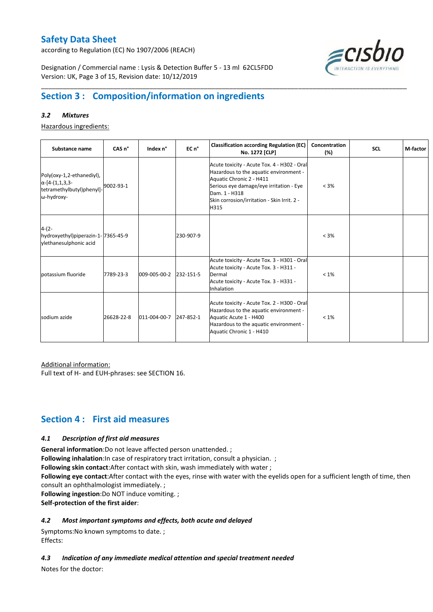according to Regulation (EC) No 1907/2006 (REACH)



Designation / Commercial name : Lysis & Detection Buffer 5 - 13 ml 62CL5FDD Version: UK, Page 3 of 15, Revision date: 10/12/2019

# **Section 3 : Composition/information on ingredients**

## *3.2 Mixtures*

Hazardous ingredients:

| Substance name                                                                                 | CAS <sub>n</sub> ° | Index n°     | EC n°     | <b>Classification according Regulation (EC)</b><br>No. 1272 [CLP]                                                                                                                                                                    | Concentration<br>(%) | <b>SCL</b> | M-factor |
|------------------------------------------------------------------------------------------------|--------------------|--------------|-----------|--------------------------------------------------------------------------------------------------------------------------------------------------------------------------------------------------------------------------------------|----------------------|------------|----------|
| Poly(oxy-1,2-ethanediyl),<br>$\alpha$ -[4-(1,1,3,3-<br>tetramethylbutyl)phenyl]-<br>ω-hydroxy- | 9002-93-1          |              |           | Acute toxicity - Acute Tox. 4 - H302 - Oral<br>Hazardous to the aquatic environment -<br>Aquatic Chronic 2 - H411<br>Serious eye damage/eye irritation - Eye<br>Dam. 1 - H318<br>Skin corrosion/irritation - Skin Irrit. 2 -<br>H315 | $< 3\%$              |            |          |
| $4-(2-$<br>hydroxyethyl)piperazin-1-7365-45-9<br>ylethanesulphonic acid                        |                    |              | 230-907-9 |                                                                                                                                                                                                                                      | $< 3\%$              |            |          |
| potassium fluoride                                                                             | 7789-23-3          | 009-005-00-2 | 232-151-5 | Acute toxicity - Acute Tox. 3 - H301 - Oral<br>Acute toxicity - Acute Tox. 3 - H311 -<br>Dermal<br>Acute toxicity - Acute Tox. 3 - H331 -<br>Inhalation                                                                              | $<1\%$               |            |          |
| sodium azide                                                                                   | 26628-22-8         | 011-004-00-7 | 247-852-1 | Acute toxicity - Acute Tox. 2 - H300 - Oral<br>Hazardous to the aquatic environment -<br>Aquatic Acute 1 - H400<br>Hazardous to the aquatic environment -<br>Aquatic Chronic 1 - H410                                                | $< 1\%$              |            |          |

\_\_\_\_\_\_\_\_\_\_\_\_\_\_\_\_\_\_\_\_\_\_\_\_\_\_\_\_\_\_\_\_\_\_\_\_\_\_\_\_\_\_\_\_\_\_\_\_\_\_\_\_\_\_\_\_\_\_\_\_\_\_\_\_\_\_\_\_\_\_\_\_\_\_\_\_\_\_\_\_\_\_\_\_\_\_\_\_\_\_\_\_\_\_\_\_\_\_\_\_\_

Additional information:

Full text of H- and EUH-phrases: see SECTION 16.

## **Section 4 : First aid measures**

#### *4.1 Description of first aid measures*

**General information**:Do not leave affected person unattended. ;

**Following inhalation:**In case of respiratory tract irritation, consult a physician. ;

**Following skin contact**:After contact with skin, wash immediately with water ;

**Following eye contact**:After contact with the eyes, rinse with water with the eyelids open for a sufficient length of time, then consult an ophthalmologist immediately. ;

**Following ingestion**:Do NOT induce vomiting. ;

**Self-protection of the first aider**:

## *4.2 Most important symptoms and effects, both acute and delayed*

Symptoms:No known symptoms to date. ; Effects:

## *4.3 Indication of any immediate medical attention and special treatment needed*

Notes for the doctor: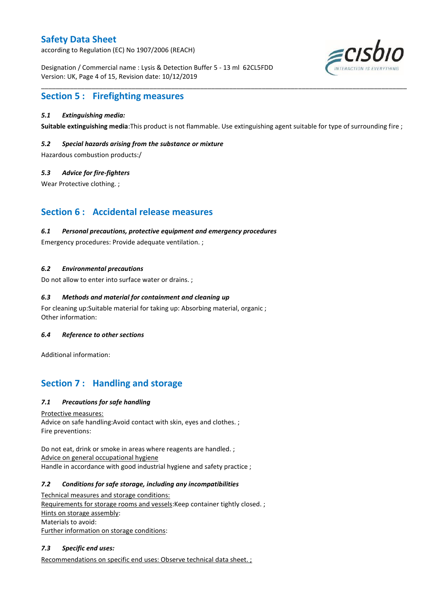according to Regulation (EC) No 1907/2006 (REACH)

Designation / Commercial name : Lysis & Detection Buffer 5 - 13 ml 62CL5FDD Version: UK, Page 4 of 15, Revision date: 10/12/2019



# **Section 5 : Firefighting measures**

### *5.1 Extinguishing media:*

**Suitable extinguishing media**:This product is not flammable. Use extinguishing agent suitable for type of surrounding fire ;

\_\_\_\_\_\_\_\_\_\_\_\_\_\_\_\_\_\_\_\_\_\_\_\_\_\_\_\_\_\_\_\_\_\_\_\_\_\_\_\_\_\_\_\_\_\_\_\_\_\_\_\_\_\_\_\_\_\_\_\_\_\_\_\_\_\_\_\_\_\_\_\_\_\_\_\_\_\_\_\_\_\_\_\_\_\_\_\_\_\_\_\_\_\_\_\_\_\_\_\_\_

#### *5.2 Special hazards arising from the substance or mixture*

Hazardous combustion products:/

#### *5.3 Advice for fire-fighters*

Wear Protective clothing. ;

## **Section 6 : Accidental release measures**

#### *6.1 Personal precautions, protective equipment and emergency procedures*

Emergency procedures: Provide adequate ventilation. ;

### *6.2 Environmental precautions*

Do not allow to enter into surface water or drains. ;

### *6.3 Methods and material for containment and cleaning up*

For cleaning up:Suitable material for taking up: Absorbing material, organic ; Other information:

#### *6.4 Reference to other sections*

Additional information:

## **Section 7 : Handling and storage**

## *7.1 Precautions for safe handling*

Protective measures: Advice on safe handling:Avoid contact with skin, eyes and clothes. ; Fire preventions:

Do not eat, drink or smoke in areas where reagents are handled. ; Advice on general occupational hygiene Handle in accordance with good industrial hygiene and safety practice ;

#### *7.2 Conditions for safe storage, including any incompatibilities*

Technical measures and storage conditions: Requirements for storage rooms and vessels: Keep container tightly closed. ; Hints on storage assembly: Materials to avoid: Further information on storage conditions:

## *7.3 Specific end uses:*

Recommendations on specific end uses: Observe technical data sheet. ;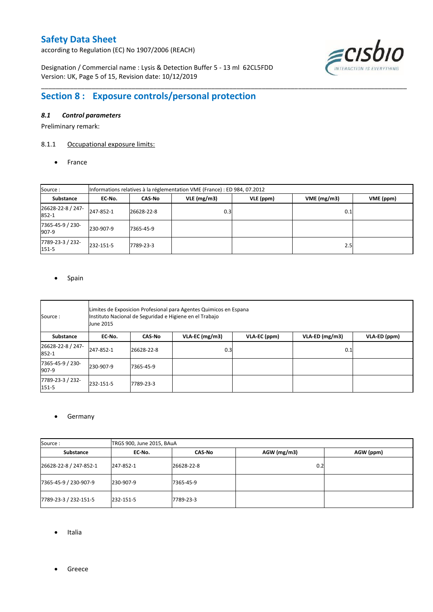according to Regulation (EC) No 1907/2006 (REACH)

Designation / Commercial name : Lysis & Detection Buffer 5 - 13 ml 62CL5FDD Version: UK, Page 5 of 15, Revision date: 10/12/2019



# **Section 8 : Exposure controls/personal protection**

## *8.1 Control parameters*

Preliminary remark:

## 8.1.1 Occupational exposure limits:

• France

| Source:                    | Informations relatives à la réglementation VME (France) : ED 984, 07.2012 |                                                 |      |  |     |  |  |  |
|----------------------------|---------------------------------------------------------------------------|-------------------------------------------------|------|--|-----|--|--|--|
| Substance                  | EC No.                                                                    | VLE(mg/m3)<br>VLE (ppm)<br>VME(mg/m3)<br>CAS-No |      |  |     |  |  |  |
| 26628-22-8 / 247-<br>852-1 | 247-852-1                                                                 | 26628-22-8                                      | 0.31 |  | 0.1 |  |  |  |
| 7365-45-9 / 230-<br>907-9  | 230-907-9                                                                 | 7365-45-9                                       |      |  |     |  |  |  |
| 7789-23-3 / 232-<br>151-5  | 232-151-5                                                                 | 7789-23-3                                       |      |  | 2.5 |  |  |  |

\_\_\_\_\_\_\_\_\_\_\_\_\_\_\_\_\_\_\_\_\_\_\_\_\_\_\_\_\_\_\_\_\_\_\_\_\_\_\_\_\_\_\_\_\_\_\_\_\_\_\_\_\_\_\_\_\_\_\_\_\_\_\_\_\_\_\_\_\_\_\_\_\_\_\_\_\_\_\_\_\_\_\_\_\_\_\_\_\_\_\_\_\_\_\_\_\_\_\_\_\_

#### • Spain

| Source :                   | Limites de Exposicion Profesional para Agentes Quimicos en Espana<br>Instituto Nacional de Seguridad e Higiene en el Trabajo<br><b>June 2015</b> |            |                   |              |                |              |  |  |
|----------------------------|--------------------------------------------------------------------------------------------------------------------------------------------------|------------|-------------------|--------------|----------------|--------------|--|--|
| Substance                  | EC No.                                                                                                                                           | CAS No     | $VLA$ -EC (mg/m3) | VLA-EC (ppm) | VLA-ED (mg/m3) | VLA-ED (ppm) |  |  |
| 26628-22-8 / 247-<br>852-1 | 247-852-1                                                                                                                                        | 26628-22-8 | 0.3               |              | 0.1            |              |  |  |
| 7365-45-9 / 230-<br>907-9  | 230-907-9                                                                                                                                        | 7365-45-9  |                   |              |                |              |  |  |
| 7789-23-3 / 232-<br>151-5  | 232-151-5                                                                                                                                        | 7789-23-3  |                   |              |                |              |  |  |

#### **•** Germany

| Source:                |           | TRGS 900, June 2015, BAuA |             |           |  |  |  |  |  |
|------------------------|-----------|---------------------------|-------------|-----------|--|--|--|--|--|
| Substance              | EC No.    | CAS-No                    | AGW (mg/m3) | AGW (ppm) |  |  |  |  |  |
| 26628-22-8 / 247-852-1 | 247-852-1 | 26628-22-8                | 0.2         |           |  |  |  |  |  |
| 7365-45-9 / 230-907-9  | 230-907-9 | 7365-45-9                 |             |           |  |  |  |  |  |
| 7789-23-3 / 232-151-5  | 232-151-5 | 7789-23-3                 |             |           |  |  |  |  |  |

- Italia
- **•** Greece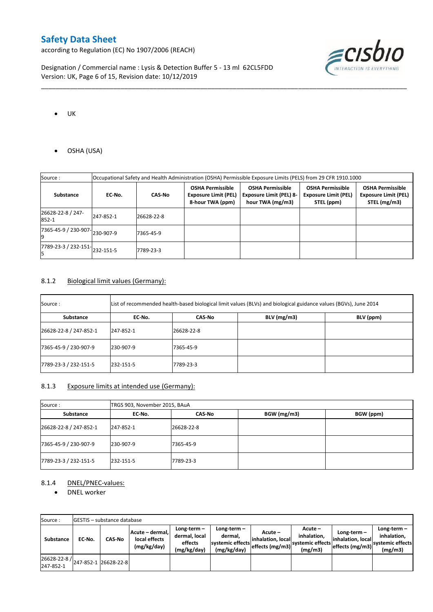according to Regulation (EC) No 1907/2006 (REACH)

Designation / Commercial name : Lysis & Detection Buffer 5 - 13 ml 62CL5FDD Version: UK, Page 6 of 15, Revision date: 10/12/2019



- $\bullet$  UK
- OSHA (USA)

| Source:                    | Occupational Safety and Health Administration (OSHA) Permissible Exposure Limits (PELS) from 29 CFR 1910.1000 |               |                                                                            |                                                                               |                                                                      |                                                                        |  |
|----------------------------|---------------------------------------------------------------------------------------------------------------|---------------|----------------------------------------------------------------------------|-------------------------------------------------------------------------------|----------------------------------------------------------------------|------------------------------------------------------------------------|--|
| Substance                  | EC-No.                                                                                                        | <b>CAS No</b> | <b>OSHA Permissible</b><br><b>Exposure Limit (PEL)</b><br>8-hour TWA (ppm) | <b>OSHA Permissible</b><br><b>Exposure Limit (PEL) 8-</b><br>hour TWA (mg/m3) | <b>OSHA Permissible</b><br><b>Exposure Limit (PEL)</b><br>STEL (ppm) | <b>OSHA Permissible</b><br><b>Exposure Limit (PEL)</b><br>STEL (mg/m3) |  |
| 26628-22-8 / 247-<br>852-1 | 247-852-1                                                                                                     | 26628-22-8    |                                                                            |                                                                               |                                                                      |                                                                        |  |
| 7365-45-9 / 230-907-       | 230-907-9                                                                                                     | 7365-45-9     |                                                                            |                                                                               |                                                                      |                                                                        |  |
| 7789-23-3 / 232-151-       | 232-151-5                                                                                                     | 7789-23-3     |                                                                            |                                                                               |                                                                      |                                                                        |  |

\_\_\_\_\_\_\_\_\_\_\_\_\_\_\_\_\_\_\_\_\_\_\_\_\_\_\_\_\_\_\_\_\_\_\_\_\_\_\_\_\_\_\_\_\_\_\_\_\_\_\_\_\_\_\_\_\_\_\_\_\_\_\_\_\_\_\_\_\_\_\_\_\_\_\_\_\_\_\_\_\_\_\_\_\_\_\_\_\_\_\_\_\_\_\_\_\_\_\_\_\_

### 8.1.2 Biological limit values (Germany):

| Source :               | List of recommended health-based biological limit values (BLVs) and biological guidance values (BGVs), June 2014 |            |               |           |  |  |  |
|------------------------|------------------------------------------------------------------------------------------------------------------|------------|---------------|-----------|--|--|--|
| Substance              | EC-No.                                                                                                           | CAS No     | $BLV$ (mg/m3) | BLV (ppm) |  |  |  |
| 26628-22-8 / 247-852-1 | 247-852-1                                                                                                        | 26628-22-8 |               |           |  |  |  |
| 7365-45-9 / 230-907-9  | 230-907-9                                                                                                        | 7365-45-9  |               |           |  |  |  |
| 7789-23-3 / 232-151-5  | 232-151-5                                                                                                        | 7789-23-3  |               |           |  |  |  |

## 8.1.3 Exposure limits at intended use (Germany):

| Source:                | TRGS 903, November 2015, BAuA |            |             |           |  |  |  |
|------------------------|-------------------------------|------------|-------------|-----------|--|--|--|
| Substance              | CAS-No<br>EC-No.              |            | BGW (mg/m3) | BGW (ppm) |  |  |  |
| 26628-22-8 / 247-852-1 | 247-852-1                     | 26628-22-8 |             |           |  |  |  |
| 7365-45-9 / 230-907-9  | 230-907-9                     | 7365-45-9  |             |           |  |  |  |
| 7789-23-3 / 232-151-5  | 232-151-5                     | 7789-23-3  |             |           |  |  |  |

## 8.1.4 DNEL/PNEC-values:

• DNEL worker

| Source:                   |        | GESTIS - substance database |                                                 |                                                          |                                                           |                                                  |                                                         |                                     |                                                                                           |
|---------------------------|--------|-----------------------------|-------------------------------------------------|----------------------------------------------------------|-----------------------------------------------------------|--------------------------------------------------|---------------------------------------------------------|-------------------------------------|-------------------------------------------------------------------------------------------|
| Substance                 | EC No. | <b>CAS-No</b>               | Acute - dermal,<br>local effects<br>(mg/kg/day) | Long-term $-$<br>dermal, local<br>effects<br>(mg/kg/day) | Long-term –<br>dermal.<br>systemic effects<br>(mg/kg/day) | Acute –<br>linhalation. local<br>effects (mg/m3) | $Acute -$<br>inhalation.<br>svstemic effects<br>(mg/m3) | $Long-term -$<br>linhalation. local | Long-term-<br>inhalation.<br>~~~  effects (mg/m3)  <sup>systemic effects</sup><br>(mg/m3) |
| 26628-22-8 /<br>247-852-1 |        | 247-852-1 26628-22-8        |                                                 |                                                          |                                                           |                                                  |                                                         |                                     |                                                                                           |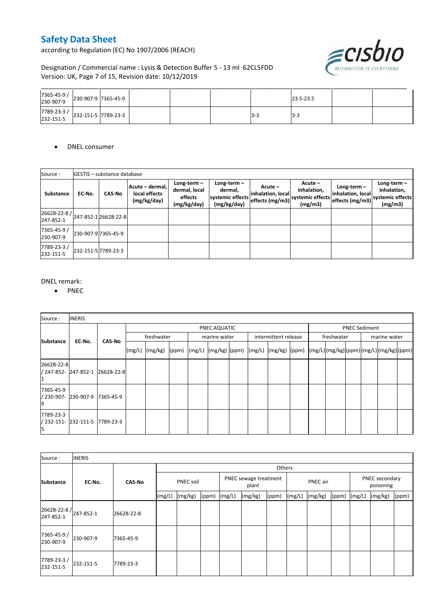according to Regulation (EC) No 1907/2006 (REACH)



Designation / Commercial name : Lysis & Detection Buffer 5 - 13 ml 62CL5FDD Version: UK, Page 7 of 15, Revision date: 10/12/2019

| 7365-45-9 /<br>230-907-9 | 230-907-9 7365-45-9 |  |      | 23.5-23.5 |  |
|--------------------------|---------------------|--|------|-----------|--|
| 7789-23-3 /<br>232-151-5 | 232-151-5 7789-23-3 |  | -5-1 | 13-5      |  |

DNEL consumer

| Source:                                          |        | <b>IGESTIS - substance database</b> |                                                 |                                                          |                                                             |                                                   |                                                      |                                                       |                                                             |
|--------------------------------------------------|--------|-------------------------------------|-------------------------------------------------|----------------------------------------------------------|-------------------------------------------------------------|---------------------------------------------------|------------------------------------------------------|-------------------------------------------------------|-------------------------------------------------------------|
| Substance                                        | EC-No. | <b>CAS-No</b>                       | Acute - dermal,<br>local effects<br>(mg/kg/day) | Long-term $-$<br>dermal, local<br>effects<br>(mg/kg/day) | Long-term $-$<br>dermal.<br>systemic effects<br>(mg/kg/day) | $Acute -$<br>inhalation, local<br>effects (mg/m3) | Acute-<br>inhalation,<br>systemic effects<br>(mg/m3) | $Long-term -$<br>inhalation, local<br>effects (mg/m3) | Long-term $-$<br>inhalation,<br>systemic effects<br>(mg/m3) |
| 26628-22-8 / 247-852-1 26628-22-8  <br>247-852-1 |        |                                     |                                                 |                                                          |                                                             |                                                   |                                                      |                                                       |                                                             |
| 7365-45-9 /<br>230-907-9                         |        | 230-907-9 7365-45-9                 |                                                 |                                                          |                                                             |                                                   |                                                      |                                                       |                                                             |
| 7789-23-3/<br>232-151-5                          |        | 232-151-5 7789-23-3                 |                                                 |                                                          |                                                             |                                                   |                                                      |                                                       |                                                             |

#### DNEL remark:

• PNEC

| Source:                                     | <b>INERIS</b> |                                 |        |            |       |  |                          |  |                                                                                                                                        |  |                            |  |                      |  |
|---------------------------------------------|---------------|---------------------------------|--------|------------|-------|--|--------------------------|--|----------------------------------------------------------------------------------------------------------------------------------------|--|----------------------------|--|----------------------|--|
|                                             |               |                                 |        |            |       |  | PNEC AQUATIC             |  |                                                                                                                                        |  |                            |  | <b>PNEC Sediment</b> |  |
| <b>Substance</b>                            | EC-No.        | <b>CAS-No</b>                   |        | freshwater |       |  | marine water             |  | intermittent release                                                                                                                   |  | freshwater<br>marine water |  |                      |  |
|                                             |               |                                 | (mg/L) | (mg/kg)    | (ppm) |  | $(mg/L)$ $(mg/kg)$ (ppm) |  | $\vert$ (mg/L) $\vert$ (mg/kg) $\vert$ (ppm) $\vert$ (mg/L) $\vert$ (mg/kg) $\vert$ (ppm) $\vert$ (mg/L) $\vert$ (mg/kg) $\vert$ (ppm) |  |                            |  |                      |  |
| 26628-22-8                                  |               | / 247-852- 247-852-1 26628-22-8 |        |            |       |  |                          |  |                                                                                                                                        |  |                            |  |                      |  |
| 7365-45-9<br>/ 230-907-                     | 230-907-9     | 7365-45-9                       |        |            |       |  |                          |  |                                                                                                                                        |  |                            |  |                      |  |
| 7789-23-3<br>/ 232-151- 232-151-5 7789-23-3 |               |                                 |        |            |       |  |                          |  |                                                                                                                                        |  |                            |  |                      |  |

| Source:                                       | <b>INERIS</b> |               |                  |         |                  |  |                                |       |        |          |              |  |                             |       |
|-----------------------------------------------|---------------|---------------|------------------|---------|------------------|--|--------------------------------|-------|--------|----------|--------------|--|-----------------------------|-------|
|                                               |               |               | Others           |         |                  |  |                                |       |        |          |              |  |                             |       |
| <b>Substance</b>                              | EC-No.        | <b>CAS-No</b> | <b>PNEC soil</b> |         |                  |  | PNEC sewage treatment<br>plant |       |        | PNEC air |              |  | PNEC secondary<br>poisoning |       |
|                                               |               |               | (mg/L)           | (mg/kg) | $(ppm)$ $(mg/L)$ |  | (mg/kg)                        | (ppm) | (mg/L) | (mg/kg)  | (ppm) (mg/L) |  | (mg/kg)                     | (ppm) |
| 26628-22-8/ <sub>247-852-1</sub><br>247-852-1 |               | 26628-22-8    |                  |         |                  |  |                                |       |        |          |              |  |                             |       |
| 7365-45-9 /<br>230-907-9                      | 230-907-9     | 7365-45-9     |                  |         |                  |  |                                |       |        |          |              |  |                             |       |
| 7789-23-3/<br>232-151-5                       | 232-151-5     | 7789-23-3     |                  |         |                  |  |                                |       |        |          |              |  |                             |       |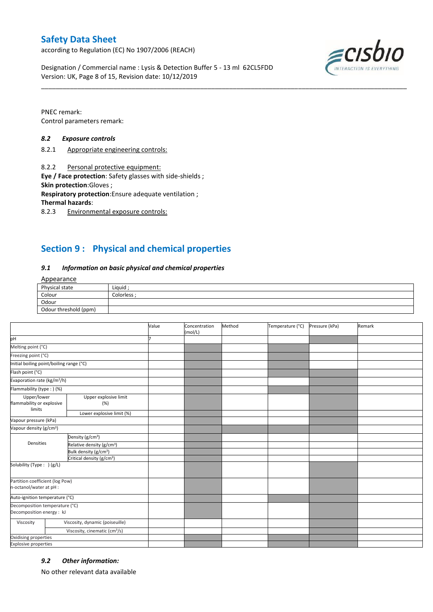according to Regulation (EC) No 1907/2006 (REACH)

Designation / Commercial name : Lysis & Detection Buffer 5 - 13 ml 62CL5FDD Version: UK, Page 8 of 15, Revision date: 10/12/2019



PNEC remark: Control parameters remark:

#### *8.2 Exposure controls*

8.2.1 Appropriate engineering controls:

8.2.2 Personal protective equipment:

**Eye / Face protection**: Safety glasses with side-shields ;

**Skin protection**:Gloves ;

**Respiratory protection**:Ensure adequate ventilation ;

**Thermal hazards**:

8.2.3 Environmental exposure controls:

# **Section 9 : Physical and chemical properties**

#### *9.1 Information on basic physical and chemical properties*

Appearance

| Physical state        | Liquid,   |
|-----------------------|-----------|
| Colour                | Colorless |
| Odour                 |           |
| Odour threshold (ppm) |           |

\_\_\_\_\_\_\_\_\_\_\_\_\_\_\_\_\_\_\_\_\_\_\_\_\_\_\_\_\_\_\_\_\_\_\_\_\_\_\_\_\_\_\_\_\_\_\_\_\_\_\_\_\_\_\_\_\_\_\_\_\_\_\_\_\_\_\_\_\_\_\_\_\_\_\_\_\_\_\_\_\_\_\_\_\_\_\_\_\_\_\_\_\_\_\_\_\_\_\_\_\_

|                                                             |                                           | Value | Concentration<br>(mol/L) | Method | Temperature (°C) | Pressure (kPa) | Remark |
|-------------------------------------------------------------|-------------------------------------------|-------|--------------------------|--------|------------------|----------------|--------|
| pH                                                          |                                           |       |                          |        |                  |                |        |
| Melting point (°C)                                          |                                           |       |                          |        |                  |                |        |
| Freezing point (°C)                                         |                                           |       |                          |        |                  |                |        |
| Initial boiling point/boiling range (°C)                    |                                           |       |                          |        |                  |                |        |
| Flash point (°C)                                            |                                           |       |                          |        |                  |                |        |
| Evaporation rate (kg/m <sup>2</sup> /h)                     |                                           |       |                          |        |                  |                |        |
| Flammability (type:) (%)                                    |                                           |       |                          |        |                  |                |        |
| Upper/lower<br>flammability or explosive<br>limits          | Upper explosive limit<br>(%)              |       |                          |        |                  |                |        |
|                                                             | Lower explosive limit (%)                 |       |                          |        |                  |                |        |
| Vapour pressure (kPa)                                       |                                           |       |                          |        |                  |                |        |
| Vapour density (g/cm <sup>3</sup> )                         |                                           |       |                          |        |                  |                |        |
|                                                             | Density (g/cm <sup>3</sup> )              |       |                          |        |                  |                |        |
| Densities                                                   | Relative density (g/cm <sup>3</sup> )     |       |                          |        |                  |                |        |
|                                                             | Bulk density (g/cm <sup>3</sup> )         |       |                          |        |                  |                |        |
|                                                             | Critical density (g/cm <sup>3</sup> )     |       |                          |        |                  |                |        |
| Solubility (Type: ) (g/L)                                   |                                           |       |                          |        |                  |                |        |
| Partition coefficient (log Pow)<br>n-octanol/water at pH :  |                                           |       |                          |        |                  |                |        |
| Auto-ignition temperature (°C)                              |                                           |       |                          |        |                  |                |        |
| Decomposition temperature (°C)<br>Decomposition energy : kJ |                                           |       |                          |        |                  |                |        |
| Viscosity                                                   | Viscosity, dynamic (poiseuille)           |       |                          |        |                  |                |        |
|                                                             | Viscosity, cinematic (cm <sup>3</sup> /s) |       |                          |        |                  |                |        |
| Oxidising properties                                        |                                           |       |                          |        |                  |                |        |
| <b>Explosive properties</b>                                 |                                           |       |                          |        |                  |                |        |

## *9.2 Other information:*

No other relevant data available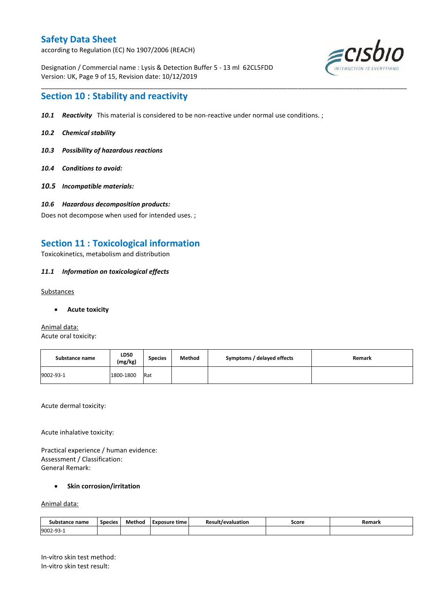according to Regulation (EC) No 1907/2006 (REACH)

Designation / Commercial name : Lysis & Detection Buffer 5 - 13 ml 62CL5FDD Version: UK, Page 9 of 15, Revision date: 10/12/2019



## **Section 10 : Stability and reactivity**

*10.1 Reactivity* This material is considered to be non-reactive under normal use conditions. ;

\_\_\_\_\_\_\_\_\_\_\_\_\_\_\_\_\_\_\_\_\_\_\_\_\_\_\_\_\_\_\_\_\_\_\_\_\_\_\_\_\_\_\_\_\_\_\_\_\_\_\_\_\_\_\_\_\_\_\_\_\_\_\_\_\_\_\_\_\_\_\_\_\_\_\_\_\_\_\_\_\_\_\_\_\_\_\_\_\_\_\_\_\_\_\_\_\_\_\_\_\_

- *10.2 Chemical stability*
- *10.3 Possibility of hazardous reactions*
- *10.4 Conditions to avoid:*
- *10.5 Incompatible materials:*
- *10.6 Hazardous decomposition products:*

Does not decompose when used for intended uses. ;

## **Section 11 : Toxicological information**

Toxicokinetics, metabolism and distribution

### *11.1 Information on toxicological effects*

#### Substances

**Acute toxicity**

Animal data: Acute oral toxicity:

| Substance name | <b>LD50</b><br>(mg/kg) | <b>Species</b> | Method | Symptoms / delayed effects | Remark |
|----------------|------------------------|----------------|--------|----------------------------|--------|
| 9002-93-1      | 1800-1800              | Rat            |        |                            |        |

Acute dermal toxicity:

Acute inhalative toxicity:

Practical experience / human evidence: Assessment / Classification: General Remark:

## **•** Skin corrosion/irritation

#### Animal data:

| Substance name | <b>Species</b> | Method | Exposure time | <b>Result/evaluation</b><br>. . | Score<br>- - - - | Remark |
|----------------|----------------|--------|---------------|---------------------------------|------------------|--------|
| 9002-93-1      |                |        |               |                                 |                  |        |

In-vitro skin test method: In-vitro skin test result: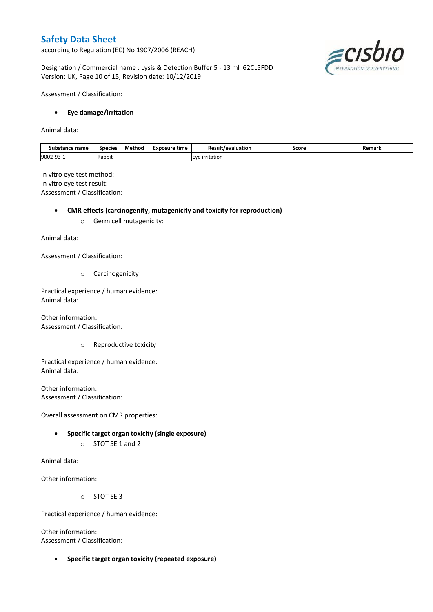according to Regulation (EC) No 1907/2006 (REACH)

Designation / Commercial name : Lysis & Detection Buffer 5 - 13 ml 62CL5FDD Version: UK, Page 10 of 15, Revision date: 10/12/2019



Assessment / Classification:

#### **Eye damage/irritation**

Animal data:

| Substance name | <b>Species</b> | Method | Exposure time | Result/evaluation        | Score | Remark |
|----------------|----------------|--------|---------------|--------------------------|-------|--------|
| 9002-93-1      | Rabbit         |        |               | Eve<br><b>irritation</b> |       |        |

\_\_\_\_\_\_\_\_\_\_\_\_\_\_\_\_\_\_\_\_\_\_\_\_\_\_\_\_\_\_\_\_\_\_\_\_\_\_\_\_\_\_\_\_\_\_\_\_\_\_\_\_\_\_\_\_\_\_\_\_\_\_\_\_\_\_\_\_\_\_\_\_\_\_\_\_\_\_\_\_\_\_\_\_\_\_\_\_\_\_\_\_\_\_\_\_\_\_\_\_\_

In vitro eye test method: In vitro eye test result: Assessment / Classification:

**CMR effects (carcinogenity, mutagenicity and toxicity for reproduction)**

o Germ cell mutagenicity:

Animal data:

Assessment / Classification:

o Carcinogenicity

Practical experience / human evidence: Animal data:

Other information: Assessment / Classification:

o Reproductive toxicity

Practical experience / human evidence: Animal data:

Other information: Assessment / Classification:

Overall assessment on CMR properties:

- **Specific target organ toxicity (single exposure)**
	- o STOT SE 1 and 2

Animal data:

Other information:

o STOT SE 3

Practical experience / human evidence:

Other information: Assessment / Classification:

**Specific target organ toxicity (repeated exposure)**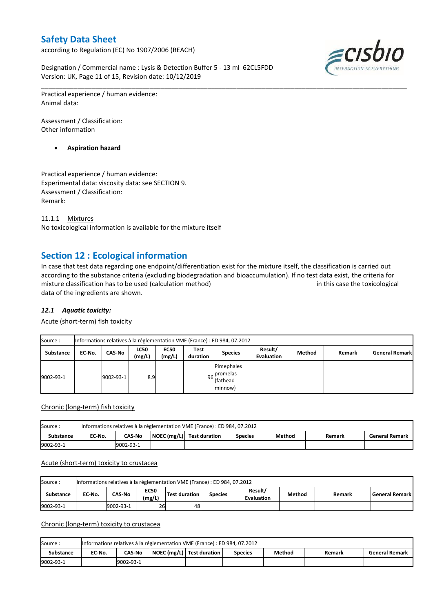according to Regulation (EC) No 1907/2006 (REACH)

Designation / Commercial name : Lysis & Detection Buffer 5 - 13 ml 62CL5FDD Version: UK, Page 11 of 15, Revision date: 10/12/2019



Practical experience / human evidence: Animal data:

Assessment / Classification: Other information

**Aspiration hazard**

Practical experience / human evidence: Experimental data: viscosity data: see SECTION 9. Assessment / Classification: Remark:

11.1.1 Mixtures No toxicological information is available for the mixture itself

# **Section 12 : Ecological information**

In case that test data regarding one endpoint/differentiation exist for the mixture itself, the classification is carried out according to the substance criteria (excluding biodegradation and bioaccumulation). If no test data exist, the criteria for mixture classification has to be used (calculation method) in this case the toxicological data of the ingredients are shown.

\_\_\_\_\_\_\_\_\_\_\_\_\_\_\_\_\_\_\_\_\_\_\_\_\_\_\_\_\_\_\_\_\_\_\_\_\_\_\_\_\_\_\_\_\_\_\_\_\_\_\_\_\_\_\_\_\_\_\_\_\_\_\_\_\_\_\_\_\_\_\_\_\_\_\_\_\_\_\_\_\_\_\_\_\_\_\_\_\_\_\_\_\_\_\_\_\_\_\_\_\_

## *12.1 Aquatic toxicity:*

Acute (short-term) fish toxicity

| Source:          |        | Informations relatives à la réglementation VME (France) : ED 984, 07.2012 |                       |                       |                  |                                                  |                              |        |        |                       |  |  |  |  |
|------------------|--------|---------------------------------------------------------------------------|-----------------------|-----------------------|------------------|--------------------------------------------------|------------------------------|--------|--------|-----------------------|--|--|--|--|
| <b>Substance</b> | EC No. | CAS-No                                                                    | <b>LC50</b><br>(mg/L) | <b>EC50</b><br>(mg/L) | Test<br>duration | <b>Species</b>                                   | Result/<br><b>Evaluation</b> | Method | Remark | <b>General Remark</b> |  |  |  |  |
| 9002-93-1        |        | 9002-93-1                                                                 | 8.9                   |                       |                  | Pimephales<br>96 promelas<br>(fathead<br>minnow) |                              |        |        |                       |  |  |  |  |

#### Chronic (long-term) fish toxicity

| Source:          |        | Informations relatives à la réglementation VME (France) : ED 984, 07.2012 |                                                                                                  |  |  |  |  |  |  |  |  |  |
|------------------|--------|---------------------------------------------------------------------------|--------------------------------------------------------------------------------------------------|--|--|--|--|--|--|--|--|--|
| <b>Substance</b> | EC No. | <b>CAS-No</b>                                                             | $\vert$ NOEC (mg/L) Test duration<br>Method<br><b>General Remark</b><br><b>Species</b><br>Remark |  |  |  |  |  |  |  |  |  |
| 9002-93-1        |        | 9002-93-1                                                                 |                                                                                                  |  |  |  |  |  |  |  |  |  |

#### Acute (short-term) toxicity to crustacea

| Source:   | Informations relatives à la réglementation VME (France) : ED 984, 07.2012 |               |                       |                      |                |                              |        |        |                    |  |  |  |
|-----------|---------------------------------------------------------------------------|---------------|-----------------------|----------------------|----------------|------------------------------|--------|--------|--------------------|--|--|--|
| Substance | EC-No.                                                                    | <b>CAS-No</b> | <b>EC50</b><br>(mg/L) | <b>Test duration</b> | <b>Species</b> | Result/<br><b>Evaluation</b> | Method | Remark | l General Remark l |  |  |  |
| 9002-93-1 |                                                                           | 9002-93-1     | 26                    | 48                   |                |                              |        |        |                    |  |  |  |

### Chronic (long-term) toxicity to crustacea

| Source:   |        | Informations relatives à la réglementation VME (France) : ED 984, 07.2012                                   |  |  |  |  |  |  |  |  |  |  |  |
|-----------|--------|-------------------------------------------------------------------------------------------------------------|--|--|--|--|--|--|--|--|--|--|--|
| Substance | EC No. | NOEC (mg/L)   Test duration<br>Method<br><b>CAS-No</b><br><b>General Remark</b><br><b>Species</b><br>Remark |  |  |  |  |  |  |  |  |  |  |  |
| 9002-93-1 |        | 9002-93-1                                                                                                   |  |  |  |  |  |  |  |  |  |  |  |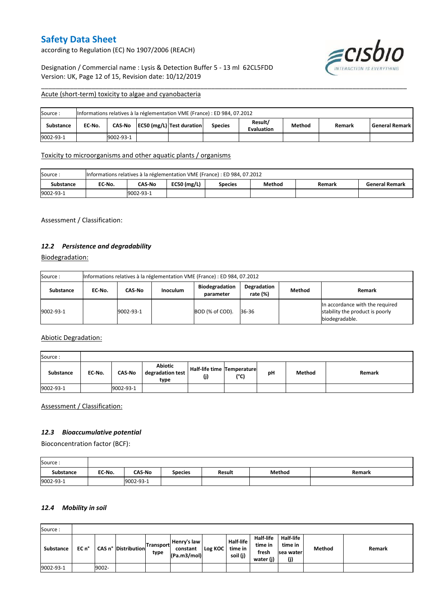according to Regulation (EC) No 1907/2006 (REACH)

Designation / Commercial name : Lysis & Detection Buffer 5 - 13 ml 62CL5FDD Version: UK, Page 12 of 15, Revision date: 10/12/2019



#### Acute (short-term) toxicity to algae and cyanobacteria

| Source:          | Informations relatives à la réglementation VME (France) : ED 984, 07.2012 |           |  |                           |                |                              |        |        |                       |  |  |
|------------------|---------------------------------------------------------------------------|-----------|--|---------------------------|----------------|------------------------------|--------|--------|-----------------------|--|--|
| <b>Substance</b> | EC No.                                                                    | CAS-No    |  | EC50 (mg/L) Test duration | <b>Species</b> | Result/<br><b>Evaluation</b> | Method | Remark | <b>General Remark</b> |  |  |
| 9002-93-1        |                                                                           | 9002-93-1 |  |                           |                |                              |        |        |                       |  |  |

\_\_\_\_\_\_\_\_\_\_\_\_\_\_\_\_\_\_\_\_\_\_\_\_\_\_\_\_\_\_\_\_\_\_\_\_\_\_\_\_\_\_\_\_\_\_\_\_\_\_\_\_\_\_\_\_\_\_\_\_\_\_\_\_\_\_\_\_\_\_\_\_\_\_\_\_\_\_\_\_\_\_\_\_\_\_\_\_\_\_\_\_\_\_\_\_\_\_\_\_\_

### Toxicity to microorganisms and other aquatic plants / organisms

| Source:   | Informations relatives à la réglementation VME (France) : ED 984, 07.2012 |           |                 |                |        |        |                       |  |
|-----------|---------------------------------------------------------------------------|-----------|-----------------|----------------|--------|--------|-----------------------|--|
| Substance | EC-No.                                                                    | CAS-No    | EC50 ( $mg/L$ ) | <b>Species</b> | Method | Remark | <b>General Remark</b> |  |
| 9002-93-1 |                                                                           | 9002-93-1 |                 |                |        |        |                       |  |

Assessment / Classification:

### *12.2 Persistence and degradability*

Biodegradation:

| Source:   |        | Informations relatives à la réglementation VME (France) : ED 984, 07.2012 |                 |                                    |                         |        |                                                                                      |  |  |
|-----------|--------|---------------------------------------------------------------------------|-----------------|------------------------------------|-------------------------|--------|--------------------------------------------------------------------------------------|--|--|
| Substance | EC No. | CAS-No                                                                    | <b>Inoculum</b> | <b>Biodegradation</b><br>parameter | Degradation<br>rate (%) | Method | Remark                                                                               |  |  |
| 9002-93-1 |        | 9002-93-1                                                                 |                 | BOD (% of COD).                    | 36-36                   |        | In accordance with the required<br>stability the product is poorly<br>biodegradable. |  |  |

### Abiotic Degradation:

| Source:          |        |               |                                     |                                   |      |    |        |        |
|------------------|--------|---------------|-------------------------------------|-----------------------------------|------|----|--------|--------|
| <b>Substance</b> | EC-No. | <b>CAS-No</b> | Abiotic<br>degradation test<br>type | Half-life time Temperature<br>(j) | (°C) | pH | Method | Remark |
| 9002-93-1        |        | 9002-93-1     |                                     |                                   |      |    |        |        |

Assessment / Classification:

#### *12.3 Bioaccumulative potential*

Bioconcentration factor (BCF):

| Source:          |        |               |                |               |        |        |
|------------------|--------|---------------|----------------|---------------|--------|--------|
| <b>Substance</b> | EC-No. | <b>CAS-No</b> | <b>Species</b> | <b>Result</b> | Method | Remark |
| 9002-93-1        |        | 9002-93-1     |                |               |        |        |

#### *12.4 Mobility in soil*

| Source:          |       |       |                       |                          |                                        |         |                                         |                                            |                                                 |        |        |
|------------------|-------|-------|-----------------------|--------------------------|----------------------------------------|---------|-----------------------------------------|--------------------------------------------|-------------------------------------------------|--------|--------|
| <b>Substance</b> | EC n° |       | CAS n°   Distribution | <b>Transport</b><br>type | Henry's law<br>constant<br>(Pa.m3/mol) | Log KOC | <b>Half-life</b><br>time in<br>soil (j) | Half-life<br>time in<br>fresh<br>water (j) | <b>Half-life</b><br>time in<br>sea water<br>(j) | Method | Remark |
| 9002-93-1        |       | 9002- |                       |                          |                                        |         |                                         |                                            |                                                 |        |        |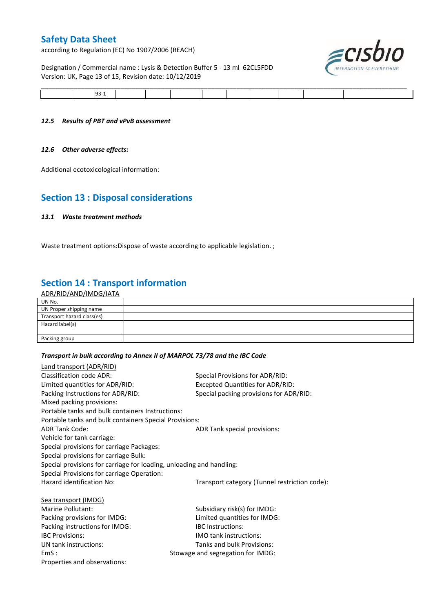according to Regulation (EC) No 1907/2006 (REACH)

## Designation / Commercial name : Lysis & Detection Buffer 5 - 13 ml 62CL5FDD Version: UK, Page 13 of 15, Revision date: 10/12/2019



| ______<br>________ |  |  |  |  | ______ |
|--------------------|--|--|--|--|--------|
|                    |  |  |  |  |        |

#### *12.5 Results of PBT and vPvB assessment*

#### *12.6 Other adverse effects:*

Additional ecotoxicological information:

# **Section 13 : Disposal considerations**

#### *13.1 Waste treatment methods*

Waste treatment options: Dispose of waste according to applicable legislation. ;

# **Section 14 : Transport information**

| ADR/RID/AND/IMDG/IATA      |  |
|----------------------------|--|
| UN No.                     |  |
| UN Proper shipping name    |  |
| Transport hazard class(es) |  |
| Hazard label(s)            |  |
|                            |  |
| Packing group              |  |

## *Transport in bulk according to Annex II of MARPOL 73/78 and the IBC Code*

| <b>Land transport (ADR/RID)</b>                                      |                                               |
|----------------------------------------------------------------------|-----------------------------------------------|
| <b>Classification code ADR:</b>                                      | Special Provisions for ADR/RID:               |
| Limited quantities for ADR/RID:                                      | Excepted Quantities for ADR/RID:              |
| Packing Instructions for ADR/RID:                                    | Special packing provisions for ADR/RID:       |
| Mixed packing provisions:                                            |                                               |
| Portable tanks and bulk containers Instructions:                     |                                               |
| Portable tanks and bulk containers Special Provisions:               |                                               |
| <b>ADR Tank Code:</b>                                                | ADR Tank special provisions:                  |
| Vehicle for tank carriage:                                           |                                               |
| Special provisions for carriage Packages:                            |                                               |
| Special provisions for carriage Bulk:                                |                                               |
| Special provisions for carriage for loading, unloading and handling: |                                               |
| Special Provisions for carriage Operation:                           |                                               |
| Hazard identification No:                                            | Transport category (Tunnel restriction code): |
| Sea transport (IMDG)                                                 |                                               |
| Marine Pollutant:                                                    | Subsidiary risk(s) for IMDG:                  |
| Packing provisions for IMDG:                                         | Limited quantities for IMDG:                  |
| Packing instructions for IMDG:                                       | <b>IBC</b> Instructions:                      |
| <b>IBC Provisions:</b>                                               | <b>IMO tank instructions:</b>                 |
| UN tank instructions:                                                | Tanks and bulk Provisions:                    |
| EmS:                                                                 | Stowage and segregation for IMDG:             |
| Properties and observations:                                         |                                               |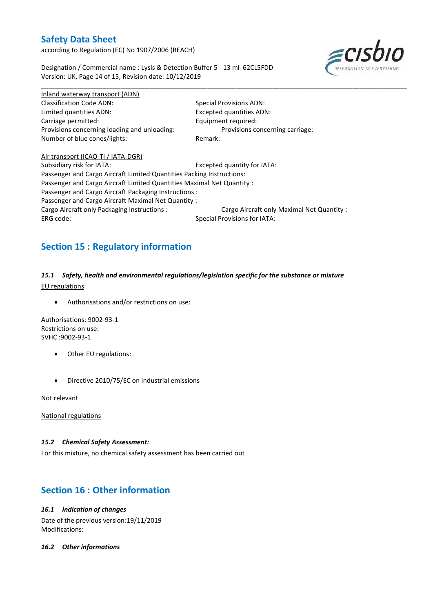according to Regulation (EC) No 1907/2006 (REACH)



Designation / Commercial name : Lysis & Detection Buffer 5 - 13 ml 62CL5FDD Version: UK, Page 14 of 15, Revision date: 10/12/2019

\_\_\_\_\_\_\_\_\_\_\_\_\_\_\_\_\_\_\_\_\_\_\_\_\_\_\_\_\_\_\_\_\_\_\_\_\_\_\_\_\_\_\_\_\_\_\_\_\_\_\_\_\_\_\_\_\_\_\_\_\_\_\_\_\_\_\_\_\_\_\_\_\_\_\_\_\_\_\_\_\_\_\_\_\_\_\_\_\_\_\_\_\_\_\_\_\_\_\_\_\_ Inland waterway transport (ADN) Classification Code ADN: Special Provisions ADN: Limited quantities ADN: Excepted quantities ADN: Carriage permitted: Carriage permitted: Provisions concerning loading and unloading: Provisions concerning carriage: Number of blue cones/lights: Remark:

Air transport (ICAO-TI / IATA-DGR) Subsidiary risk for IATA: Excepted quantity for IATA: Passenger and Cargo Aircraft Limited Quantities Packing Instructions: Passenger and Cargo Aircraft Limited Quantities Maximal Net Quantity : Passenger and Cargo Aircraft Packaging Instructions : Passenger and Cargo Aircraft Maximal Net Quantity : Cargo Aircraft only Packaging Instructions : Cargo Aircraft only Maximal Net Quantity : ERG code: Special Provisions for IATA:

# **Section 15 : Regulatory information**

*15.1 Safety, health and environmental regulations/legislation specific for the substance or mixture* EU regulations

Authorisations and/or restrictions on use:

Authorisations: 9002-93-1 Restrictions on use: SVHC :9002-93-1

- Other EU regulations:
- Directive 2010/75/EC on industrial emissions

Not relevant

National regulations

#### *15.2 Chemical Safety Assessment:*

For this mixture, no chemical safety assessment has been carried out

# **Section 16 : Other information**

#### *16.1 Indication of changes*

Date of the previous version:19/11/2019 Modifications:

#### *16.2 Other informations*